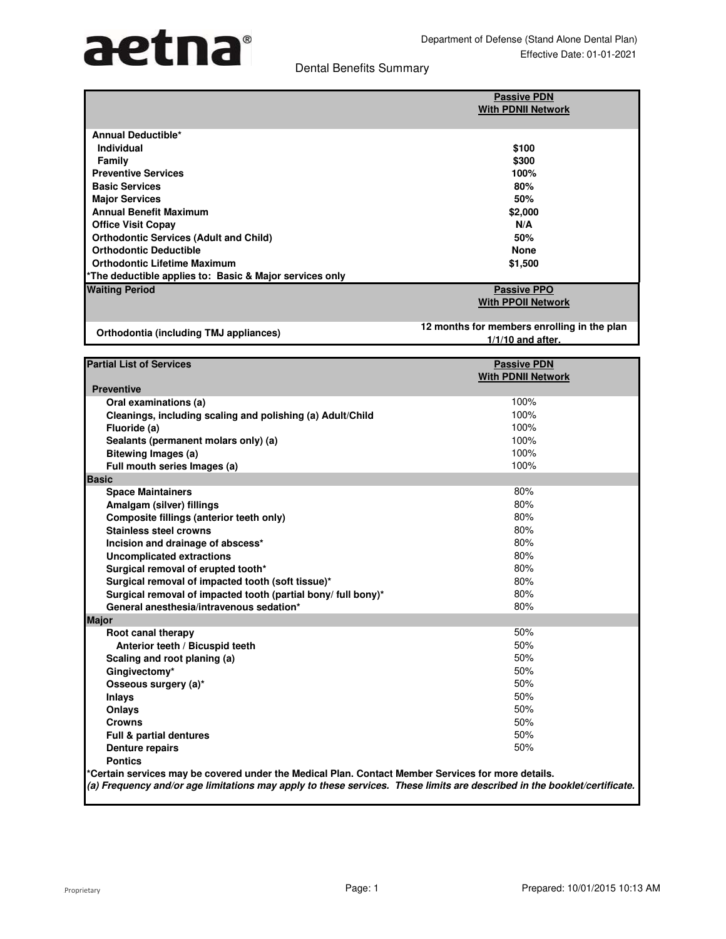# aetna®

## Dental Benefits Summary

|                                                         | <b>Passive PDN</b><br><b>With PDNII Network</b> |
|---------------------------------------------------------|-------------------------------------------------|
|                                                         |                                                 |
| <b>Annual Deductible*</b>                               |                                                 |
| <b>Individual</b>                                       | \$100                                           |
| Family                                                  | \$300                                           |
| <b>Preventive Services</b>                              | 100%                                            |
| <b>Basic Services</b>                                   | 80%                                             |
| <b>Major Services</b>                                   | 50%                                             |
| <b>Annual Benefit Maximum</b>                           | \$2,000                                         |
| <b>Office Visit Copay</b>                               | N/A                                             |
| <b>Orthodontic Services (Adult and Child)</b>           | 50%                                             |
| <b>Orthodontic Deductible</b>                           | <b>None</b>                                     |
| <b>Orthodontic Lifetime Maximum</b>                     | \$1,500                                         |
| *The deductible applies to: Basic & Major services only |                                                 |
| <b>Waiting Period</b>                                   | <b>Passive PPO</b>                              |
|                                                         | <b>With PPOII Network</b>                       |
|                                                         | 12 months for members enrolling in the plan     |
| Orthodontia (including TMJ appliances)                  | $111110 - 111111$                               |

**1/1/10 and after. Partial List of Services Preventive Oral examinations (a)** 100% **Cleanings, including scaling and polishing (a) Adult/Child Fluoride (a)** 100% **Sealants (permanent molars only) (a)** 100% **Bitewing Images (a)** 100% **Full mouth series Images (a)** 100% **Basic Space Maintainers** 80% **Amalgam (silver) fillings** 80% **Composite fillings (anterior teeth only)** 80% **With PDNII Network Passive PDN**

|       | opavo mannanio s                                              |     |
|-------|---------------------------------------------------------------|-----|
|       | Amalgam (silver) fillings                                     | 80% |
|       | Composite fillings (anterior teeth only)                      | 80% |
|       | <b>Stainless steel crowns</b>                                 | 80% |
|       | Incision and drainage of abscess*                             | 80% |
|       | <b>Uncomplicated extractions</b>                              | 80% |
|       | Surgical removal of erupted tooth*                            | 80% |
|       | Surgical removal of impacted tooth (soft tissue)*             | 80% |
|       | Surgical removal of impacted tooth (partial bony/ full bony)* | 80% |
|       | General anesthesia/intravenous sedation*                      | 80% |
| Major |                                                               |     |
|       | Root canal therapy                                            | 50% |
|       | Anterior teeth / Bicuspid teeth                               | 50% |
|       | Scaling and root planing (a)                                  | 50% |
|       | Gingivectomy*                                                 | 50% |
|       | Osseous surgery (a)*                                          | 50% |
|       | Inlays                                                        | 50% |
|       | <b>Onlays</b>                                                 | 50% |
|       | <b>Crowns</b>                                                 | 50% |
|       | <b>Full &amp; partial dentures</b>                            | 50% |
|       | <b>Denture repairs</b>                                        | 50% |

**Pontics**

**\*Certain services may be covered under the Medical Plan. Contact Member Services for more details.**

**(a) Frequency and/or age limitations may apply to these services. These limits are described in the booklet/certificate.**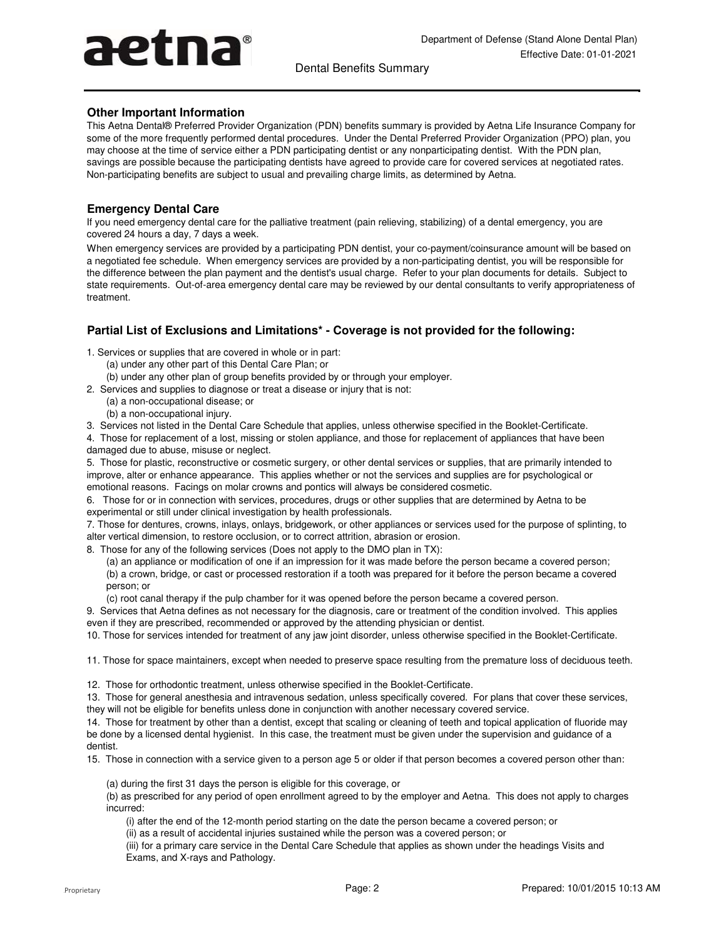# aetna®

Dental Benefits Summary

### **Other Important Information**

This Aetna Dental® Preferred Provider Organization (PDN) benefits summary is provided by Aetna Life Insurance Company for some of the more frequently performed dental procedures. Under the Dental Preferred Provider Organization (PPO) plan, you may choose at the time of service either a PDN participating dentist or any nonparticipating dentist. With the PDN plan, savings are possible because the participating dentists have agreed to provide care for covered services at negotiated rates. Non-participating benefits are subject to usual and prevailing charge limits, as determined by Aetna.

### **Emergency Dental Care**

If you need emergency dental care for the palliative treatment (pain relieving, stabilizing) of a dental emergency, you are covered 24 hours a day, 7 days a week.

When emergency services are provided by a participating PDN dentist, your co-payment/coinsurance amount will be based on a negotiated fee schedule. When emergency services are provided by a non-participating dentist, you will be responsible for the difference between the plan payment and the dentist's usual charge. Refer to your plan documents for details. Subject to state requirements. Out-of-area emergency dental care may be reviewed by our dental consultants to verify appropriateness of treatment.

## **Partial List of Exclusions and Limitations\* - Coverage is not provided for the following:**

- 1. Services or supplies that are covered in whole or in part:
	- (a) under any other part of this Dental Care Plan; or
	- (b) under any other plan of group benefits provided by or through your employer.
- 2. Services and supplies to diagnose or treat a disease or injury that is not:
	- (a) a non-occupational disease; or
		- (b) a non-occupational injury.
- 3. Services not listed in the Dental Care Schedule that applies, unless otherwise specified in the Booklet-Certificate.
- 4. Those for replacement of a lost, missing or stolen appliance, and those for replacement of appliances that have been damaged due to abuse, misuse or neglect.

5. Those for plastic, reconstructive or cosmetic surgery, or other dental services or supplies, that are primarily intended to improve, alter or enhance appearance. This applies whether or not the services and supplies are for psychological or emotional reasons. Facings on molar crowns and pontics will always be considered cosmetic.

6. Those for or in connection with services, procedures, drugs or other supplies that are determined by Aetna to be experimental or still under clinical investigation by health professionals.

7. Those for dentures, crowns, inlays, onlays, bridgework, or other appliances or services used for the purpose of splinting, to alter vertical dimension, to restore occlusion, or to correct attrition, abrasion or erosion.

8. Those for any of the following services (Does not apply to the DMO plan in TX):

(b) a crown, bridge, or cast or processed restoration if a tooth was prepared for it before the person became a covered person; or (a) an appliance or modification of one if an impression for it was made before the person became a covered person;

(c) root canal therapy if the pulp chamber for it was opened before the person became a covered person.

9. Services that Aetna defines as not necessary for the diagnosis, care or treatment of the condition involved. This applies even if they are prescribed, recommended or approved by the attending physician or dentist.

10. Those for services intended for treatment of any jaw joint disorder, unless otherwise specified in the Booklet-Certificate.

11. Those for space maintainers, except when needed to preserve space resulting from the premature loss of deciduous teeth.

12. Those for orthodontic treatment, unless otherwise specified in the Booklet-Certificate.

13. Those for general anesthesia and intravenous sedation, unless specifically covered. For plans that cover these services, they will not be eligible for benefits unless done in conjunction with another necessary covered service.

14. Those for treatment by other than a dentist, except that scaling or cleaning of teeth and topical application of fluoride may be done by a licensed dental hygienist. In this case, the treatment must be given under the supervision and guidance of a dentist.

15. Those in connection with a service given to a person age 5 or older if that person becomes a covered person other than:

(a) during the first 31 days the person is eligible for this coverage, or

(b) as prescribed for any period of open enrollment agreed to by the employer and Aetna. This does not apply to charges incurred:

(i) after the end of the 12-month period starting on the date the person became a covered person; or

(ii) as a result of accidental injuries sustained while the person was a covered person; or

(iii) for a primary care service in the Dental Care Schedule that applies as shown under the headings Visits and Exams, and X-rays and Pathology.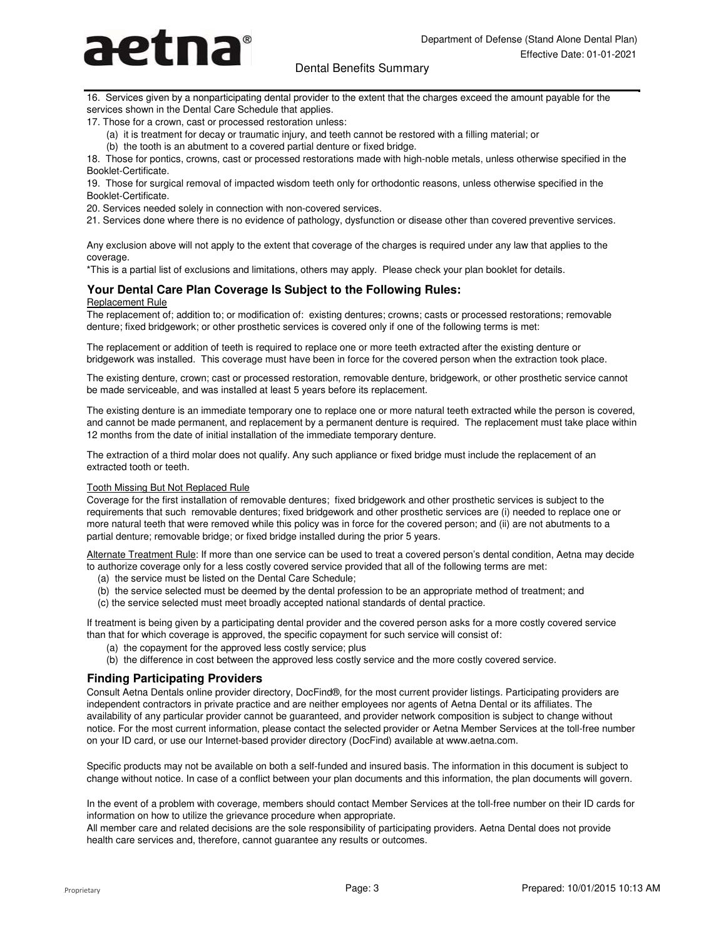

#### Dental Benefits Summary

16. Services given by a nonparticipating dental provider to the extent that the charges exceed the amount payable for the services shown in the Dental Care Schedule that applies.

17. Those for a crown, cast or processed restoration unless:

- (a) it is treatment for decay or traumatic injury, and teeth cannot be restored with a filling material; or
- (b) the tooth is an abutment to a covered partial denture or fixed bridge.

18. Those for pontics, crowns, cast or processed restorations made with high-noble metals, unless otherwise specified in the Booklet-Certificate.

19. Those for surgical removal of impacted wisdom teeth only for orthodontic reasons, unless otherwise specified in the Booklet-Certificate.

20. Services needed solely in connection with non-covered services.

21. Services done where there is no evidence of pathology, dysfunction or disease other than covered preventive services.

Any exclusion above will not apply to the extent that coverage of the charges is required under any law that applies to the coverage.

\*This is a partial list of exclusions and limitations, others may apply. Please check your plan booklet for details.

#### Replacement Rule **Your Dental Care Plan Coverage Is Subject to the Following Rules:**

The replacement of; addition to; or modification of: existing dentures; crowns; casts or processed restorations; removable denture; fixed bridgework; or other prosthetic services is covered only if one of the following terms is met:

The replacement or addition of teeth is required to replace one or more teeth extracted after the existing denture or bridgework was installed. This coverage must have been in force for the covered person when the extraction took place.

The existing denture, crown; cast or processed restoration, removable denture, bridgework, or other prosthetic service cannot be made serviceable, and was installed at least 5 years before its replacement.

The existing denture is an immediate temporary one to replace one or more natural teeth extracted while the person is covered, and cannot be made permanent, and replacement by a permanent denture is required. The replacement must take place within 12 months from the date of initial installation of the immediate temporary denture.

The extraction of a third molar does not qualify. Any such appliance or fixed bridge must include the replacement of an extracted tooth or teeth.

#### Tooth Missing But Not Replaced Rule

Coverage for the first installation of removable dentures; fixed bridgework and other prosthetic services is subject to the requirements that such removable dentures; fixed bridgework and other prosthetic services are (i) needed to replace one or more natural teeth that were removed while this policy was in force for the covered person; and (ii) are not abutments to a partial denture; removable bridge; or fixed bridge installed during the prior 5 years.

Alternate Treatment Rule: If more than one service can be used to treat a covered person's dental condition, Aetna may decide to authorize coverage only for a less costly covered service provided that all of the following terms are met:

- (a) the service must be listed on the Dental Care Schedule;
- (b) the service selected must be deemed by the dental profession to be an appropriate method of treatment; and
- (c) the service selected must meet broadly accepted national standards of dental practice.

If treatment is being given by a participating dental provider and the covered person asks for a more costly covered service than that for which coverage is approved, the specific copayment for such service will consist of:

- (a) the copayment for the approved less costly service; plus
- (b) the difference in cost between the approved less costly service and the more costly covered service.

#### **Finding Participating Providers**

Consult Aetna Dentals online provider directory, DocFind®, for the most current provider listings. Participating providers are independent contractors in private practice and are neither employees nor agents of Aetna Dental or its affiliates. The availability of any particular provider cannot be guaranteed, and provider network composition is subject to change without notice. For the most current information, please contact the selected provider or Aetna Member Services at the toll-free number on your ID card, or use our Internet-based provider directory (DocFind) available at www.aetna.com.

Specific products may not be available on both a self-funded and insured basis. The information in this document is subject to change without notice. In case of a conflict between your plan documents and this information, the plan documents will govern.

In the event of a problem with coverage, members should contact Member Services at the toll-free number on their ID cards for information on how to utilize the grievance procedure when appropriate.

All member care and related decisions are the sole responsibility of participating providers. Aetna Dental does not provide health care services and, therefore, cannot guarantee any results or outcomes.